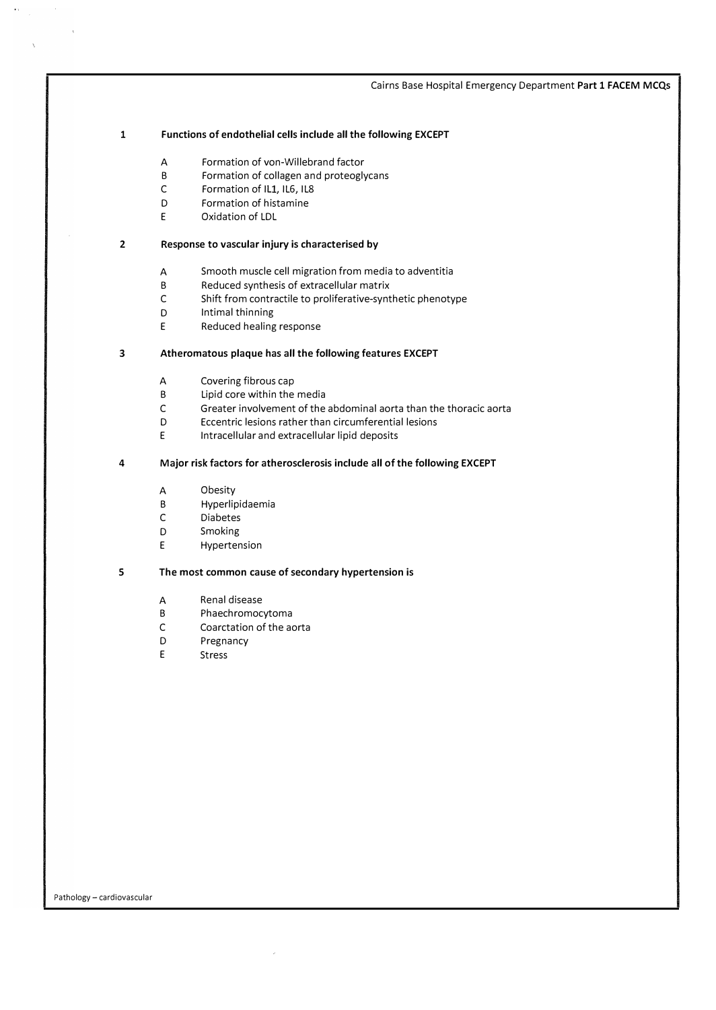### 1 Functions of endothelial cells include all the following EXCEPT

- A Formation of von-Willebrand factor
- B Formation of collagen and proteoglycans
- C Formation of IL1, IL6, IL8
- D Formation of histamine
- E Oxidation of LDL

## 2 Response to vascular injury is characterised by

- A Smooth muscle cell migration from media to adventitia
- B Reduced synthesis of extracellular matrix
- C Shift from contractile to proliferative-synthetic phenotype
- D Intimal thinning
- E Reduced healing response

## 3 Atheromatous plaque has all the following features EXCEPT

- A Covering fibrous cap
- B Lipid core within the media
- C Greater involvement of the abdominal aorta than the thoracic aorta
- D Eccentric lesions rather than circumferential lesions
- E Intracellular and extracellular lipid deposits

## 4 Major risk factors for atherosclerosis include all of the following EXCEPT

- A Obesity
- B Hyperlipidaemia
- C Diabetes
- D Smoking
- E Hypertension

## 5 The most common cause of secondary hypertension is

- A Renal disease
- B Phaechromocytoma
- C Coarctation of the aorta
- D Pregnancy
- E Stress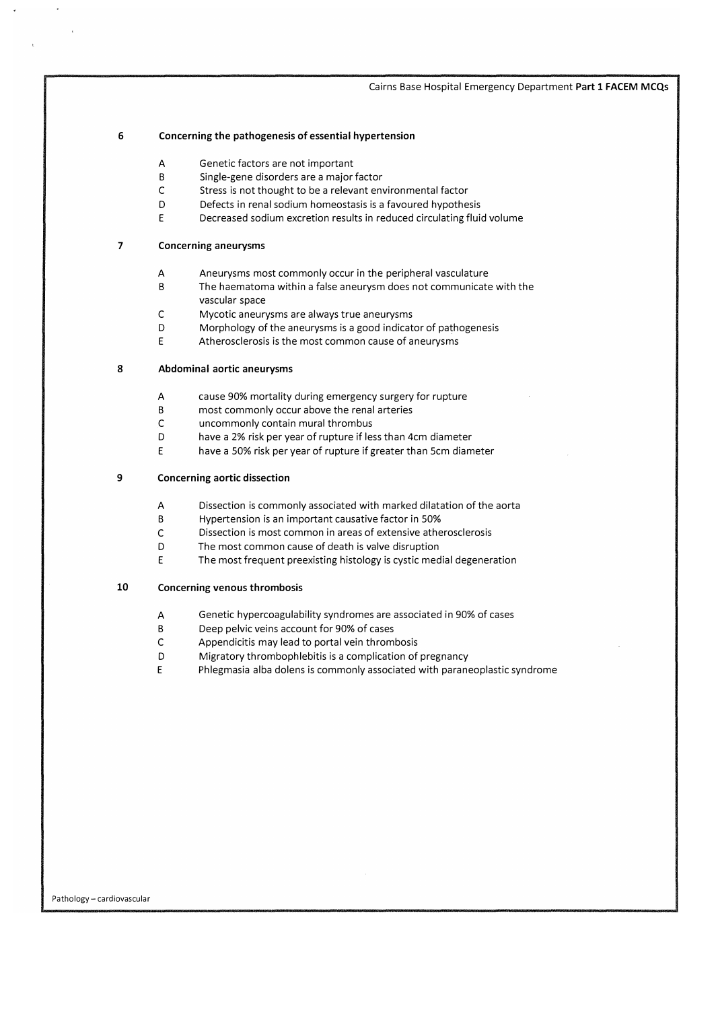#### 6 Concerning the pathogenesis of essential hypertension

- A Genetic factors are not important
- B Single-gene disorders are a major factor
- C Stress is not thought to be a relevant environmental factor
- D Defects in renal sodium homeostasis is a favoured hypothesis
- E Decreased sodium excretion results in reduced circulating fluid volume

#### 7 Concerning aneurysms

- A Aneurysms most commonly occur in the peripheral vasculature
- B The haematoma within a false aneurysm does not communicate with the vascular space
- C Mycotic aneurysms are always true aneurysms
- D Morphology of the aneurysms is a good indicator of pathogenesis
- E Atherosclerosis is the most common cause of aneurysms

## 8 Abdominal aortic aneurysms

- A cause 90% mortality during emergency surgery for rupture
- B most commonly occur above the renal arteries
- C uncommonly contain mural thrombus
- D have a 2% risk per year of rupture if less than 4cm diameter
- E have a 50% risk per year of rupture if greater than Scm diameter

#### 9 Concerning aortic dissection

- A Dissection is commonly associated with marked dilatation of the aorta
- B Hypertension is an important causative factor in 50%
- C Dissection is most common in areas of extensive atherosclerosis
- D The most common cause of death is valve disruption
- E The most frequent preexisting histology is cystic medial degeneration

#### 10 Concerning venous thrombosis

- A Genetic hypercoagulability syndromes are associated in 90% of cases
- B Deep pelvic veins account for 90% of cases
- C Appendicitis may lead to portal vein thrombosis
- D Migratory thrombophlebitis is a complication of pregnancy
- E Phlegmasia alba dolens is commonly associated with paraneoplastic syndrome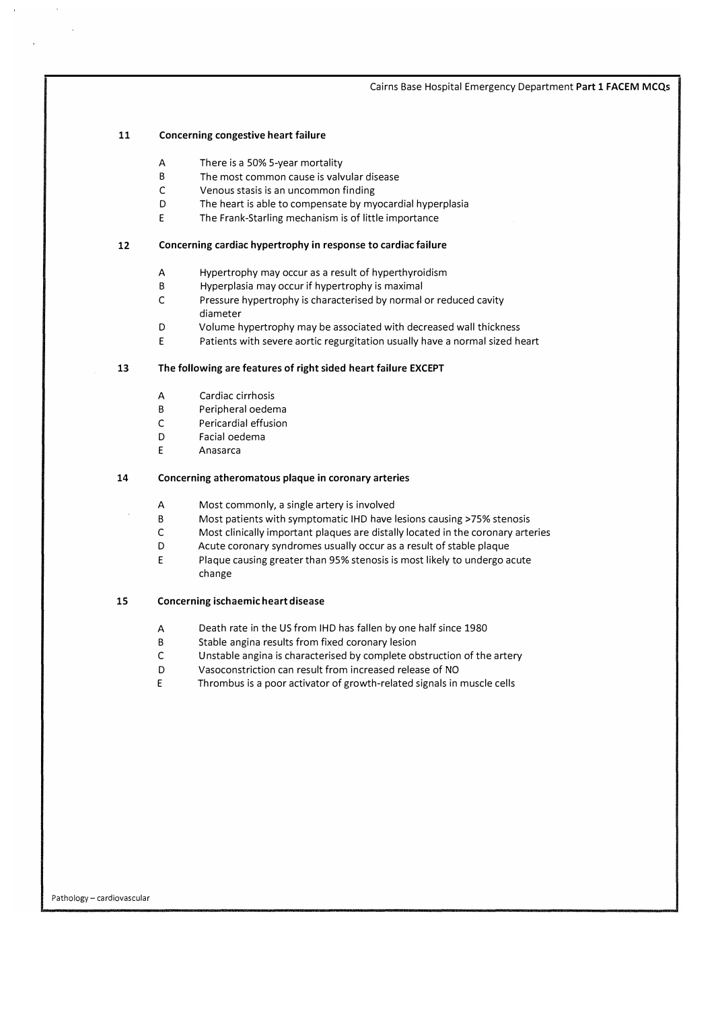#### 11 Concerning congestive heart failure

- A There is a 50% 5-year mortality
- B The most common cause is valvular disease
- C Venous stasis is an uncommon finding
- D The heart is able to compensate by myocardial hyperplasia
- E The Frank-Starling mechanism is of little importance

#### 12 Concerning cardiac hypertrophy in response to cardiac failure

- A Hypertrophy may occur as a result of hyperthyroidism
- B Hyperplasia may occur if hypertrophy is maximal
- C Pressure hypertrophy is characterised by normal or reduced cavity diameter
- D Volume hypertrophy may be associated with decreased wall thickness
- E Patients with severe aortic regurgitation usually have a normal sized heart

## 13 The following are features of right sided heart failure EXCEPT

- A Cardiac cirrhosis
- B Peripheral oedema
- C Pericardial effusion
- D Facial oedema
- E Anasarca

#### 14 Concerning atheromatous plaque in coronary arteries

- A Most commonly, a single artery is involved
- B Most patients with symptomatic IHD have lesions causing> 75% stenosis
- C Most clinically important plaques are distally located in the coronary arteries
- D Acute coronary syndromes usually occur as a result of stable plaque
- E Plaque causing greater than 95% stenosis is most likely to undergo acute change

#### 15 Concerning ischaemic heart disease

- A Death rate in the US from IHD has fallen by one half since 1980
- B Stable angina results from fixed coronary lesion
- C Unstable angina is characterised by complete obstruction of the artery
- D Vasoconstriction can result from increased release of NO
- E Thrombus is a poor activator of growth-related signals in muscle cells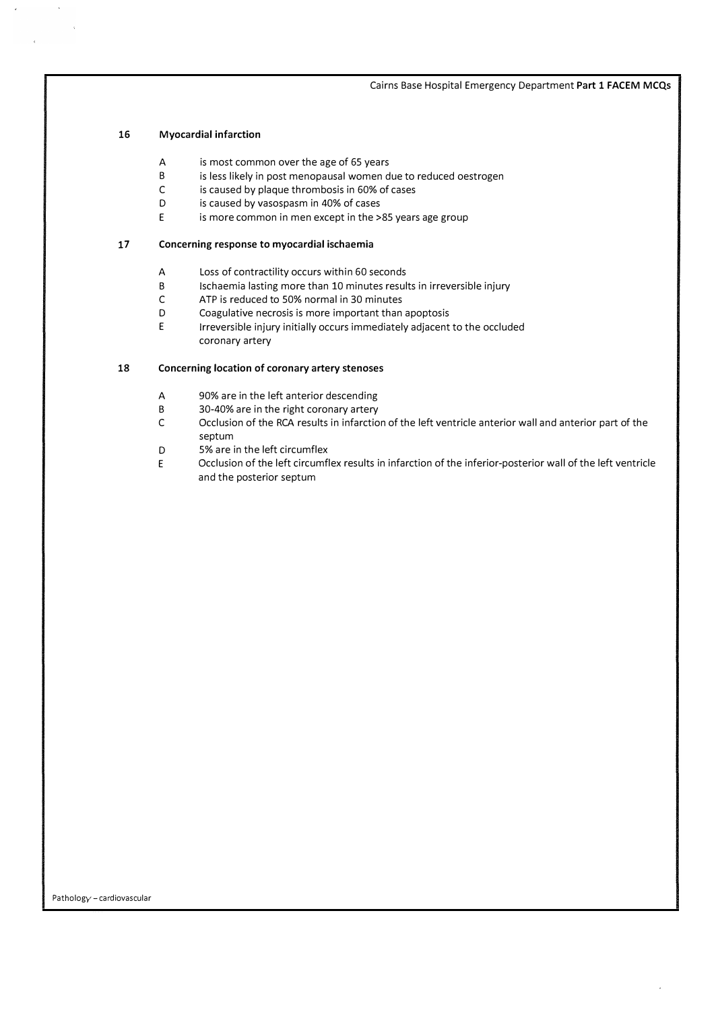## 16 Myocardial infarction

- A is most common over the age of 65 years
- B is less likely in post menopausal women due to reduced oestrogen
- C is caused by plaque thrombosis in 60% of cases
- D is caused by vasospasm in 40% of cases
- E is more common in men except in the >85 years age group

### 17 Concerning response to myocardial ischaemia

- A Loss of contractility occurs within 60 seconds
- B Ischaemia lasting more than 10 minutes results in irreversible injury
- C ATP is reduced to 50% normal in 30 minutes
- D Coagulative necrosis is more important than apoptosis
- E Irreversible injury initially occurs immediately adjacent to the occluded coronary artery

## 18 Concerning location of coronary artery stenoses

- A 90% are in the left anterior descending
- B 30-40% are in the right coronary artery
- C Occlusion of the RCA results in infarction of the left ventricle anterior wall and anterior part of the septum
- D 5% are in the left circumflex
- E Occlusion of the left circumflex results in infarction of the inferior-posterior wall of the left ventricle and the posterior septum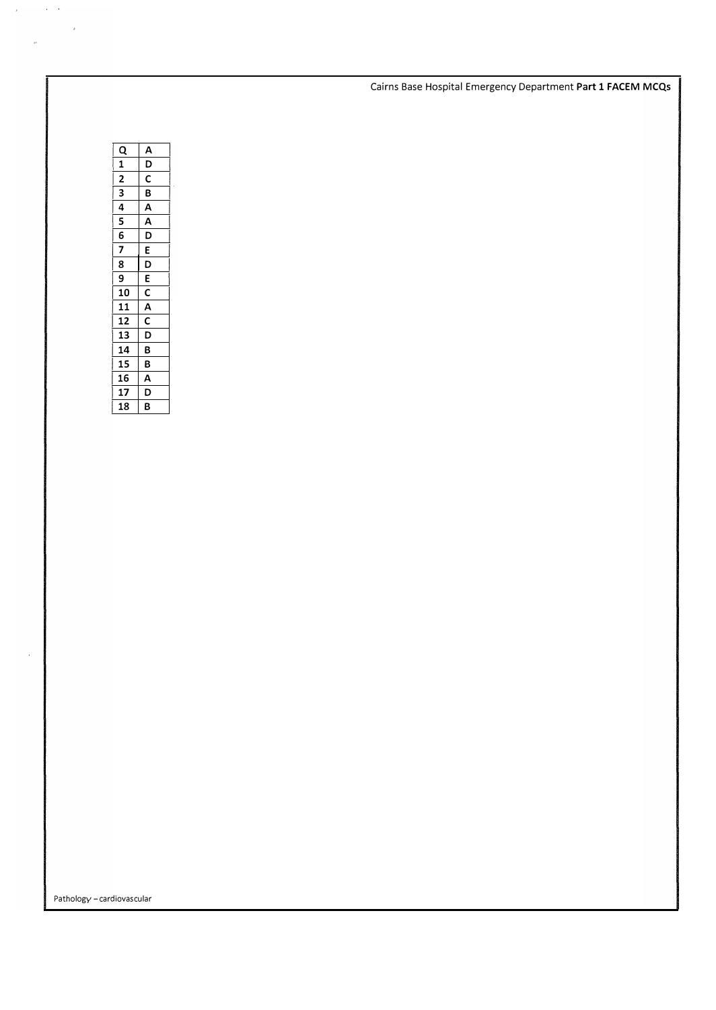| B |                                                                                                   |
|---|---------------------------------------------------------------------------------------------------|
| В |                                                                                                   |
|   |                                                                                                   |
|   |                                                                                                   |
|   |                                                                                                   |
|   | $\frac{A}{D}$<br><u> B A A D E D E C A C D </u><br>$\overline{A}$<br>$\overline{\mathsf{D}}$<br>B |

 $\mathcal{L}_{\text{max}}$  and  $\mathcal{L}_{\text{max}}$ 

 $\sigma$  .

 $\sim$   $\epsilon$ 

Pathology - cardiovascular

 $\bar{\gamma}$